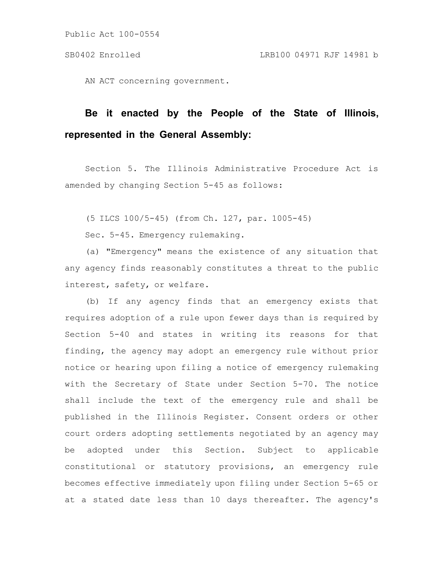AN ACT concerning government.

# **Be it enacted by the People of the State of Illinois, represented in the General Assembly:**

Section 5. The Illinois Administrative Procedure Act is amended by changing Section 5-45 as follows:

(5 ILCS 100/5-45) (from Ch. 127, par. 1005-45)

Sec. 5-45. Emergency rulemaking.

(a) "Emergency" means the existence of any situation that any agency finds reasonably constitutes a threat to the public interest, safety, or welfare.

(b) If any agency finds that an emergency exists that requires adoption of a rule upon fewer days than is required by Section 5-40 and states in writing its reasons for that finding, the agency may adopt an emergency rule without prior notice or hearing upon filing a notice of emergency rulemaking with the Secretary of State under Section 5-70. The notice shall include the text of the emergency rule and shall be published in the Illinois Register. Consent orders or other court orders adopting settlements negotiated by an agency may be adopted under this Section. Subject to applicable constitutional or statutory provisions, an emergency rule becomes effective immediately upon filing under Section 5-65 or at a stated date less than 10 days thereafter. The agency's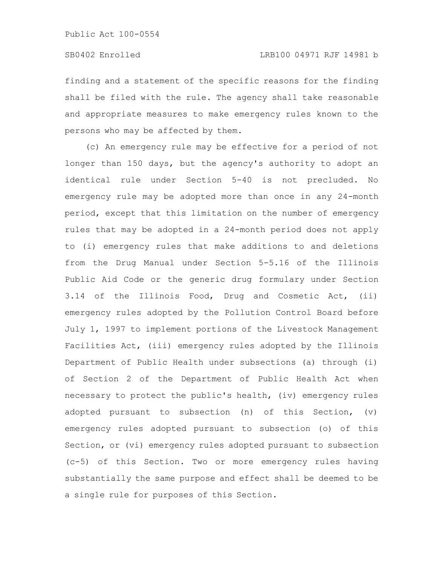finding and a statement of the specific reasons for the finding shall be filed with the rule. The agency shall take reasonable and appropriate measures to make emergency rules known to the persons who may be affected by them.

(c) An emergency rule may be effective for a period of not longer than 150 days, but the agency's authority to adopt an identical rule under Section 5-40 is not precluded. No emergency rule may be adopted more than once in any 24-month period, except that this limitation on the number of emergency rules that may be adopted in a 24-month period does not apply to (i) emergency rules that make additions to and deletions from the Drug Manual under Section 5-5.16 of the Illinois Public Aid Code or the generic drug formulary under Section 3.14 of the Illinois Food, Drug and Cosmetic Act, (ii) emergency rules adopted by the Pollution Control Board before July 1, 1997 to implement portions of the Livestock Management Facilities Act, (iii) emergency rules adopted by the Illinois Department of Public Health under subsections (a) through (i) of Section 2 of the Department of Public Health Act when necessary to protect the public's health, (iv) emergency rules adopted pursuant to subsection (n) of this Section, (v) emergency rules adopted pursuant to subsection (o) of this Section, or (vi) emergency rules adopted pursuant to subsection (c-5) of this Section. Two or more emergency rules having substantially the same purpose and effect shall be deemed to be a single rule for purposes of this Section.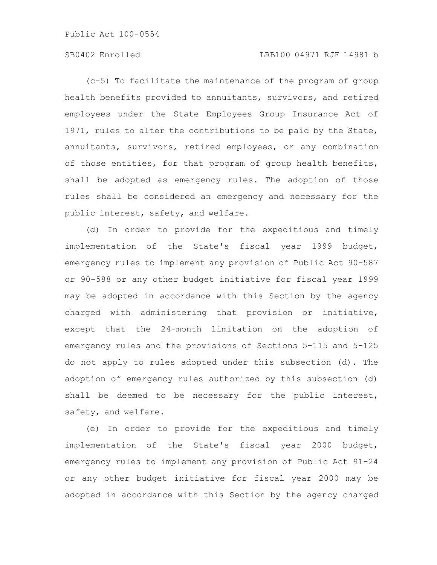# SB0402 Enrolled LRB100 04971 RJF 14981 b

(c-5) To facilitate the maintenance of the program of group health benefits provided to annuitants, survivors, and retired employees under the State Employees Group Insurance Act of 1971, rules to alter the contributions to be paid by the State, annuitants, survivors, retired employees, or any combination of those entities, for that program of group health benefits, shall be adopted as emergency rules. The adoption of those rules shall be considered an emergency and necessary for the public interest, safety, and welfare.

(d) In order to provide for the expeditious and timely implementation of the State's fiscal year 1999 budget, emergency rules to implement any provision of Public Act 90-587 or 90-588 or any other budget initiative for fiscal year 1999 may be adopted in accordance with this Section by the agency charged with administering that provision or initiative, except that the 24-month limitation on the adoption of emergency rules and the provisions of Sections 5-115 and 5-125 do not apply to rules adopted under this subsection (d). The adoption of emergency rules authorized by this subsection (d) shall be deemed to be necessary for the public interest, safety, and welfare.

(e) In order to provide for the expeditious and timely implementation of the State's fiscal year 2000 budget, emergency rules to implement any provision of Public Act 91-24 or any other budget initiative for fiscal year 2000 may be adopted in accordance with this Section by the agency charged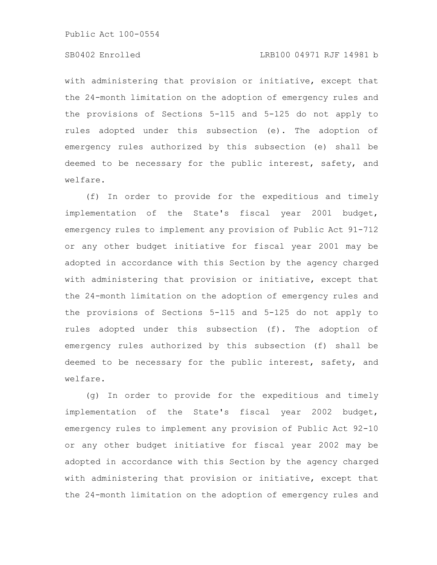# SB0402 Enrolled LRB100 04971 RJF 14981 b

with administering that provision or initiative, except that the 24-month limitation on the adoption of emergency rules and the provisions of Sections 5-115 and 5-125 do not apply to rules adopted under this subsection (e). The adoption of emergency rules authorized by this subsection (e) shall be deemed to be necessary for the public interest, safety, and welfare.

(f) In order to provide for the expeditious and timely implementation of the State's fiscal year 2001 budget, emergency rules to implement any provision of Public Act 91-712 or any other budget initiative for fiscal year 2001 may be adopted in accordance with this Section by the agency charged with administering that provision or initiative, except that the 24-month limitation on the adoption of emergency rules and the provisions of Sections 5-115 and 5-125 do not apply to rules adopted under this subsection (f). The adoption of emergency rules authorized by this subsection (f) shall be deemed to be necessary for the public interest, safety, and welfare.

(g) In order to provide for the expeditious and timely implementation of the State's fiscal year 2002 budget, emergency rules to implement any provision of Public Act 92-10 or any other budget initiative for fiscal year 2002 may be adopted in accordance with this Section by the agency charged with administering that provision or initiative, except that the 24-month limitation on the adoption of emergency rules and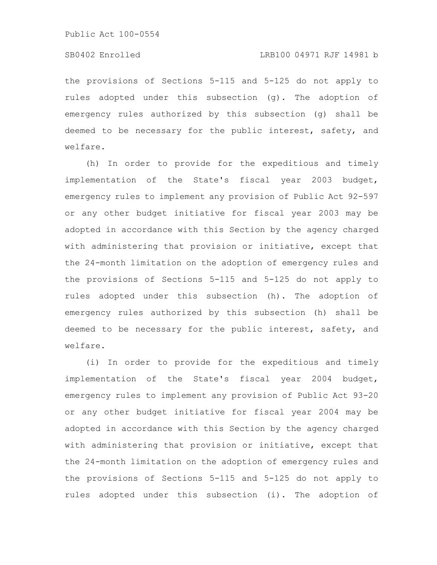the provisions of Sections 5-115 and 5-125 do not apply to rules adopted under this subsection (g). The adoption of emergency rules authorized by this subsection (g) shall be deemed to be necessary for the public interest, safety, and welfare.

(h) In order to provide for the expeditious and timely implementation of the State's fiscal year 2003 budget, emergency rules to implement any provision of Public Act 92-597 or any other budget initiative for fiscal year 2003 may be adopted in accordance with this Section by the agency charged with administering that provision or initiative, except that the 24-month limitation on the adoption of emergency rules and the provisions of Sections 5-115 and 5-125 do not apply to rules adopted under this subsection (h). The adoption of emergency rules authorized by this subsection (h) shall be deemed to be necessary for the public interest, safety, and welfare.

(i) In order to provide for the expeditious and timely implementation of the State's fiscal year 2004 budget, emergency rules to implement any provision of Public Act 93-20 or any other budget initiative for fiscal year 2004 may be adopted in accordance with this Section by the agency charged with administering that provision or initiative, except that the 24-month limitation on the adoption of emergency rules and the provisions of Sections 5-115 and 5-125 do not apply to rules adopted under this subsection (i). The adoption of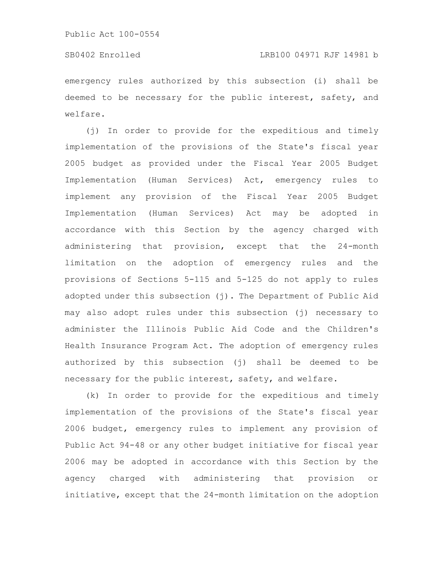# SB0402 Enrolled LRB100 04971 RJF 14981 b

emergency rules authorized by this subsection (i) shall be deemed to be necessary for the public interest, safety, and welfare.

(j) In order to provide for the expeditious and timely implementation of the provisions of the State's fiscal year 2005 budget as provided under the Fiscal Year 2005 Budget Implementation (Human Services) Act, emergency rules to implement any provision of the Fiscal Year 2005 Budget Implementation (Human Services) Act may be adopted in accordance with this Section by the agency charged with administering that provision, except that the 24-month limitation on the adoption of emergency rules and the provisions of Sections 5-115 and 5-125 do not apply to rules adopted under this subsection  $(j)$ . The Department of Public Aid may also adopt rules under this subsection (j) necessary to administer the Illinois Public Aid Code and the Children's Health Insurance Program Act. The adoption of emergency rules authorized by this subsection (j) shall be deemed to be necessary for the public interest, safety, and welfare.

(k) In order to provide for the expeditious and timely implementation of the provisions of the State's fiscal year 2006 budget, emergency rules to implement any provision of Public Act 94-48 or any other budget initiative for fiscal year 2006 may be adopted in accordance with this Section by the agency charged with administering that provision or initiative, except that the 24-month limitation on the adoption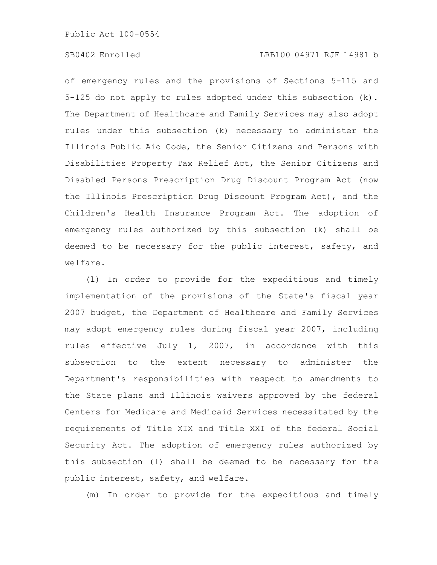of emergency rules and the provisions of Sections 5-115 and 5-125 do not apply to rules adopted under this subsection (k). The Department of Healthcare and Family Services may also adopt rules under this subsection (k) necessary to administer the Illinois Public Aid Code, the Senior Citizens and Persons with Disabilities Property Tax Relief Act, the Senior Citizens and Disabled Persons Prescription Drug Discount Program Act (now the Illinois Prescription Drug Discount Program Act), and the Children's Health Insurance Program Act. The adoption of emergency rules authorized by this subsection (k) shall be deemed to be necessary for the public interest, safety, and welfare.

(l) In order to provide for the expeditious and timely implementation of the provisions of the State's fiscal year 2007 budget, the Department of Healthcare and Family Services may adopt emergency rules during fiscal year 2007, including rules effective July 1, 2007, in accordance with this subsection to the extent necessary to administer the Department's responsibilities with respect to amendments to the State plans and Illinois waivers approved by the federal Centers for Medicare and Medicaid Services necessitated by the requirements of Title XIX and Title XXI of the federal Social Security Act. The adoption of emergency rules authorized by this subsection (l) shall be deemed to be necessary for the public interest, safety, and welfare.

(m) In order to provide for the expeditious and timely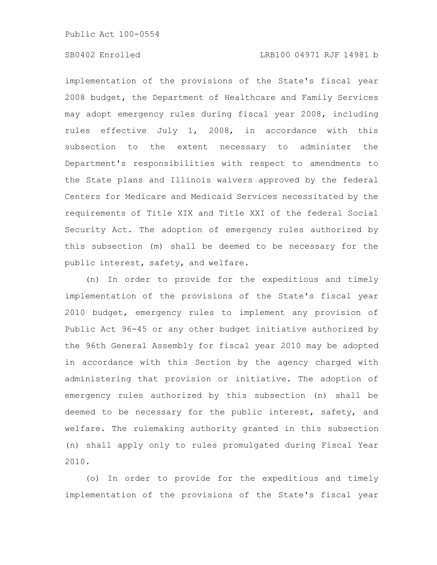# SB0402 Enrolled LRB100 04971 RJF 14981 b

implementation of the provisions of the State's fiscal year 2008 budget, the Department of Healthcare and Family Services may adopt emergency rules during fiscal year 2008, including rules effective July 1, 2008, in accordance with this subsection to the extent necessary to administer the Department's responsibilities with respect to amendments to the State plans and Illinois waivers approved by the federal Centers for Medicare and Medicaid Services necessitated by the requirements of Title XIX and Title XXI of the federal Social Security Act. The adoption of emergency rules authorized by this subsection (m) shall be deemed to be necessary for the public interest, safety, and welfare.

(n) In order to provide for the expeditious and timely implementation of the provisions of the State's fiscal year 2010 budget, emergency rules to implement any provision of Public Act 96-45 or any other budget initiative authorized by the 96th General Assembly for fiscal year 2010 may be adopted in accordance with this Section by the agency charged with administering that provision or initiative. The adoption of emergency rules authorized by this subsection (n) shall be deemed to be necessary for the public interest, safety, and welfare. The rulemaking authority granted in this subsection (n) shall apply only to rules promulgated during Fiscal Year 2010.

(o) In order to provide for the expeditious and timely implementation of the provisions of the State's fiscal year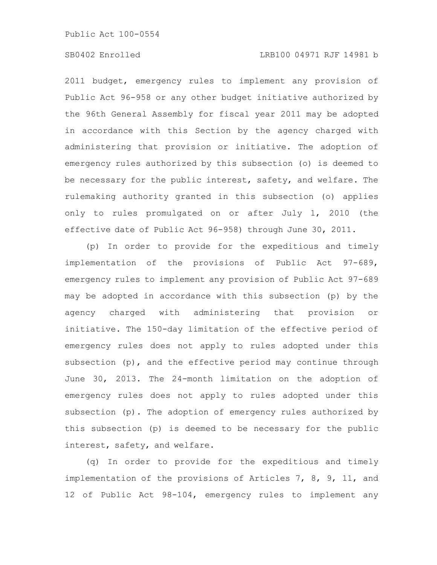# SB0402 Enrolled LRB100 04971 RJF 14981 b

2011 budget, emergency rules to implement any provision of Public Act 96-958 or any other budget initiative authorized by the 96th General Assembly for fiscal year 2011 may be adopted in accordance with this Section by the agency charged with administering that provision or initiative. The adoption of emergency rules authorized by this subsection (o) is deemed to be necessary for the public interest, safety, and welfare. The rulemaking authority granted in this subsection (o) applies only to rules promulgated on or after July 1, 2010 (the effective date of Public Act 96-958) through June 30, 2011.

(p) In order to provide for the expeditious and timely implementation of the provisions of Public Act 97-689, emergency rules to implement any provision of Public Act 97-689 may be adopted in accordance with this subsection (p) by the agency charged with administering that provision or initiative. The 150-day limitation of the effective period of emergency rules does not apply to rules adopted under this subsection (p), and the effective period may continue through June 30, 2013. The 24-month limitation on the adoption of emergency rules does not apply to rules adopted under this subsection (p). The adoption of emergency rules authorized by this subsection (p) is deemed to be necessary for the public interest, safety, and welfare.

(q) In order to provide for the expeditious and timely implementation of the provisions of Articles 7, 8, 9, 11, and 12 of Public Act 98-104, emergency rules to implement any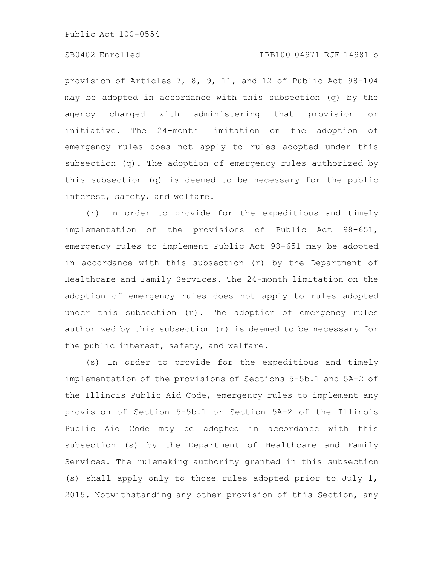# SB0402 Enrolled LRB100 04971 RJF 14981 b

provision of Articles 7, 8, 9, 11, and 12 of Public Act 98-104 may be adopted in accordance with this subsection (q) by the agency charged with administering that provision or initiative. The 24-month limitation on the adoption of emergency rules does not apply to rules adopted under this subsection (q). The adoption of emergency rules authorized by this subsection (q) is deemed to be necessary for the public interest, safety, and welfare.

(r) In order to provide for the expeditious and timely implementation of the provisions of Public Act 98-651, emergency rules to implement Public Act 98-651 may be adopted in accordance with this subsection (r) by the Department of Healthcare and Family Services. The 24-month limitation on the adoption of emergency rules does not apply to rules adopted under this subsection  $(r)$ . The adoption of emergency rules authorized by this subsection (r) is deemed to be necessary for the public interest, safety, and welfare.

(s) In order to provide for the expeditious and timely implementation of the provisions of Sections 5-5b.1 and 5A-2 of the Illinois Public Aid Code, emergency rules to implement any provision of Section 5-5b.1 or Section 5A-2 of the Illinois Public Aid Code may be adopted in accordance with this subsection (s) by the Department of Healthcare and Family Services. The rulemaking authority granted in this subsection (s) shall apply only to those rules adopted prior to July 1, 2015. Notwithstanding any other provision of this Section, any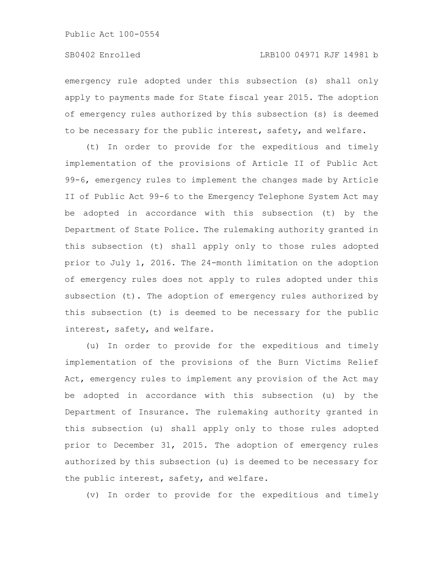emergency rule adopted under this subsection (s) shall only apply to payments made for State fiscal year 2015. The adoption of emergency rules authorized by this subsection (s) is deemed to be necessary for the public interest, safety, and welfare.

(t) In order to provide for the expeditious and timely implementation of the provisions of Article II of Public Act 99-6, emergency rules to implement the changes made by Article II of Public Act 99-6 to the Emergency Telephone System Act may be adopted in accordance with this subsection (t) by the Department of State Police. The rulemaking authority granted in this subsection (t) shall apply only to those rules adopted prior to July 1, 2016. The 24-month limitation on the adoption of emergency rules does not apply to rules adopted under this subsection (t). The adoption of emergency rules authorized by this subsection (t) is deemed to be necessary for the public interest, safety, and welfare.

(u) In order to provide for the expeditious and timely implementation of the provisions of the Burn Victims Relief Act, emergency rules to implement any provision of the Act may be adopted in accordance with this subsection (u) by the Department of Insurance. The rulemaking authority granted in this subsection (u) shall apply only to those rules adopted prior to December 31, 2015. The adoption of emergency rules authorized by this subsection (u) is deemed to be necessary for the public interest, safety, and welfare.

(v) In order to provide for the expeditious and timely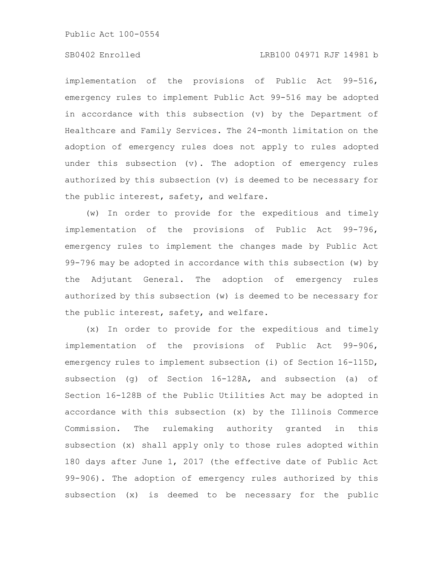# SB0402 Enrolled LRB100 04971 RJF 14981 b

implementation of the provisions of Public Act 99-516, emergency rules to implement Public Act 99-516 may be adopted in accordance with this subsection (v) by the Department of Healthcare and Family Services. The 24-month limitation on the adoption of emergency rules does not apply to rules adopted under this subsection (v). The adoption of emergency rules authorized by this subsection (v) is deemed to be necessary for the public interest, safety, and welfare.

(w) In order to provide for the expeditious and timely implementation of the provisions of Public Act 99-796, emergency rules to implement the changes made by Public Act 99-796 may be adopted in accordance with this subsection (w) by the Adjutant General. The adoption of emergency rules authorized by this subsection (w) is deemed to be necessary for the public interest, safety, and welfare.

(x) In order to provide for the expeditious and timely implementation of the provisions of Public Act 99-906, emergency rules to implement subsection (i) of Section 16-115D, subsection (g) of Section 16-128A, and subsection (a) of Section 16-128B of the Public Utilities Act may be adopted in accordance with this subsection (x) by the Illinois Commerce Commission. The rulemaking authority granted in this subsection (x) shall apply only to those rules adopted within 180 days after June 1, 2017 (the effective date of Public Act 99-906). The adoption of emergency rules authorized by this subsection (x) is deemed to be necessary for the public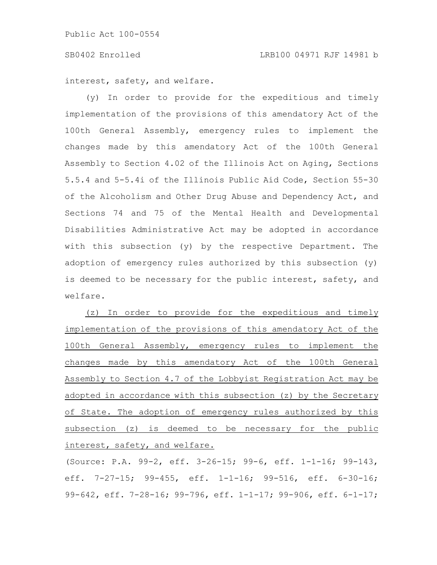interest, safety, and welfare.

(y) In order to provide for the expeditious and timely implementation of the provisions of this amendatory Act of the 100th General Assembly, emergency rules to implement the changes made by this amendatory Act of the 100th General Assembly to Section 4.02 of the Illinois Act on Aging, Sections 5.5.4 and 5-5.4i of the Illinois Public Aid Code, Section 55-30 of the Alcoholism and Other Drug Abuse and Dependency Act, and Sections 74 and 75 of the Mental Health and Developmental Disabilities Administrative Act may be adopted in accordance with this subsection (y) by the respective Department. The adoption of emergency rules authorized by this subsection (y) is deemed to be necessary for the public interest, safety, and welfare.

(z) In order to provide for the expeditious and timely implementation of the provisions of this amendatory Act of the 100th General Assembly, emergency rules to implement the changes made by this amendatory Act of the 100th General Assembly to Section 4.7 of the Lobbyist Registration Act may be adopted in accordance with this subsection (z) by the Secretary of State. The adoption of emergency rules authorized by this subsection (z) is deemed to be necessary for the public interest, safety, and welfare.

(Source: P.A. 99-2, eff. 3-26-15; 99-6, eff. 1-1-16; 99-143, eff. 7-27-15; 99-455, eff. 1-1-16; 99-516, eff. 6-30-16; 99-642, eff. 7-28-16; 99-796, eff. 1-1-17; 99-906, eff. 6-1-17;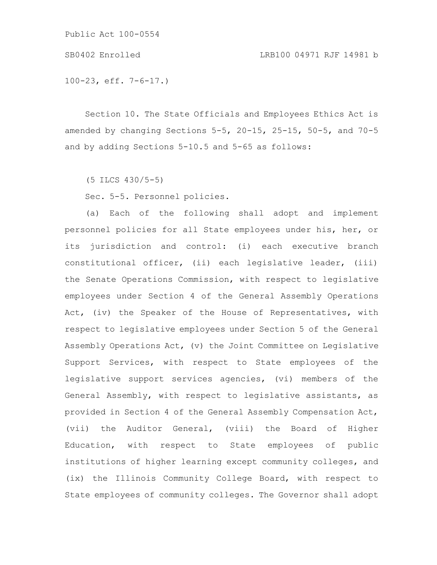SB0402 Enrolled LRB100 04971 RJF 14981 b

100-23, eff. 7-6-17.)

Section 10. The State Officials and Employees Ethics Act is amended by changing Sections 5-5, 20-15, 25-15, 50-5, and 70-5 and by adding Sections 5-10.5 and 5-65 as follows:

(5 ILCS 430/5-5)

Sec. 5-5. Personnel policies.

(a) Each of the following shall adopt and implement personnel policies for all State employees under his, her, or its jurisdiction and control: (i) each executive branch constitutional officer, (ii) each legislative leader, (iii) the Senate Operations Commission, with respect to legislative employees under Section 4 of the General Assembly Operations Act, (iv) the Speaker of the House of Representatives, with respect to legislative employees under Section 5 of the General Assembly Operations Act, (v) the Joint Committee on Legislative Support Services, with respect to State employees of the legislative support services agencies, (vi) members of the General Assembly, with respect to legislative assistants, as provided in Section 4 of the General Assembly Compensation Act, (vii) the Auditor General, (viii) the Board of Higher Education, with respect to State employees of public institutions of higher learning except community colleges, and (ix) the Illinois Community College Board, with respect to State employees of community colleges. The Governor shall adopt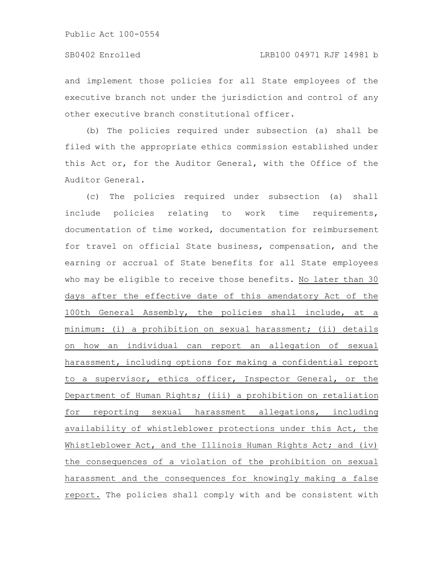and implement those policies for all State employees of the executive branch not under the jurisdiction and control of any other executive branch constitutional officer.

(b) The policies required under subsection (a) shall be filed with the appropriate ethics commission established under this Act or, for the Auditor General, with the Office of the Auditor General.

(c) The policies required under subsection (a) shall include policies relating to work time requirements, documentation of time worked, documentation for reimbursement for travel on official State business, compensation, and the earning or accrual of State benefits for all State employees who may be eligible to receive those benefits. No later than 30 days after the effective date of this amendatory Act of the 100th General Assembly, the policies shall include, at a minimum: (i) a prohibition on sexual harassment; (ii) details on how an individual can report an allegation of sexual harassment, including options for making a confidential report to a supervisor, ethics officer, Inspector General, or the Department of Human Rights; (iii) a prohibition on retaliation for reporting sexual harassment allegations, including availability of whistleblower protections under this Act, the Whistleblower Act, and the Illinois Human Rights Act; and (iv) the consequences of a violation of the prohibition on sexual harassment and the consequences for knowingly making a false report. The policies shall comply with and be consistent with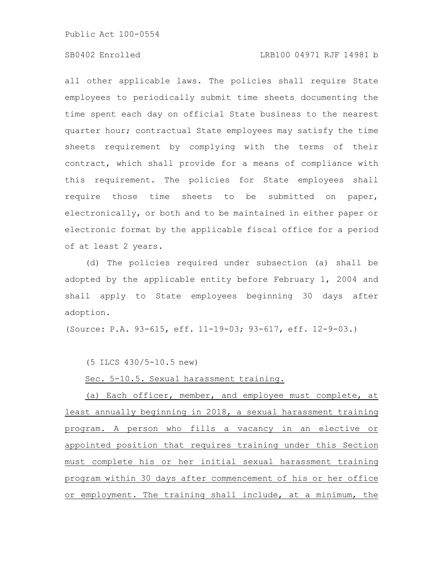# SB0402 Enrolled LRB100 04971 RJF 14981 b

all other applicable laws. The policies shall require State employees to periodically submit time sheets documenting the time spent each day on official State business to the nearest quarter hour; contractual State employees may satisfy the time sheets requirement by complying with the terms of their contract, which shall provide for a means of compliance with this requirement. The policies for State employees shall require those time sheets to be submitted on paper, electronically, or both and to be maintained in either paper or electronic format by the applicable fiscal office for a period of at least 2 years.

(d) The policies required under subsection (a) shall be adopted by the applicable entity before February 1, 2004 and shall apply to State employees beginning 30 days after adoption.

(Source: P.A. 93-615, eff. 11-19-03; 93-617, eff. 12-9-03.)

(5 ILCS 430/5-10.5 new)

Sec. 5-10.5. Sexual harassment training.

(a) Each officer, member, and employee must complete, at least annually beginning in 2018, a sexual harassment training program. A person who fills a vacancy in an elective or appointed position that requires training under this Section must complete his or her initial sexual harassment training program within 30 days after commencement of his or her office or employment. The training shall include, at a minimum, the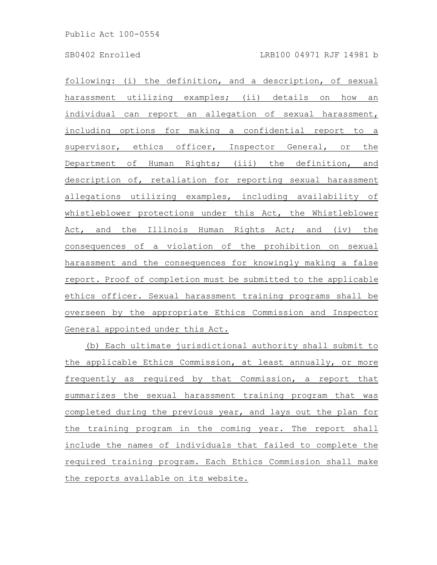following: (i) the definition, and a description, of sexual harassment utilizing examples; (ii) details on how an individual can report an allegation of sexual harassment, including options for making a confidential report to a supervisor, ethics officer, Inspector General, or the Department of Human Rights; (iii) the definition, and description of, retaliation for reporting sexual harassment allegations utilizing examples, including availability of whistleblower protections under this Act, the Whistleblower Act, and the Illinois Human Rights Act; and (iv) the consequences of a violation of the prohibition on sexual harassment and the consequences for knowingly making a false report. Proof of completion must be submitted to the applicable ethics officer. Sexual harassment training programs shall be overseen by the appropriate Ethics Commission and Inspector General appointed under this Act.

(b) Each ultimate jurisdictional authority shall submit to the applicable Ethics Commission, at least annually, or more frequently as required by that Commission, a report that summarizes the sexual harassment training program that was completed during the previous year, and lays out the plan for the training program in the coming year. The report shall include the names of individuals that failed to complete the required training program. Each Ethics Commission shall make the reports available on its website.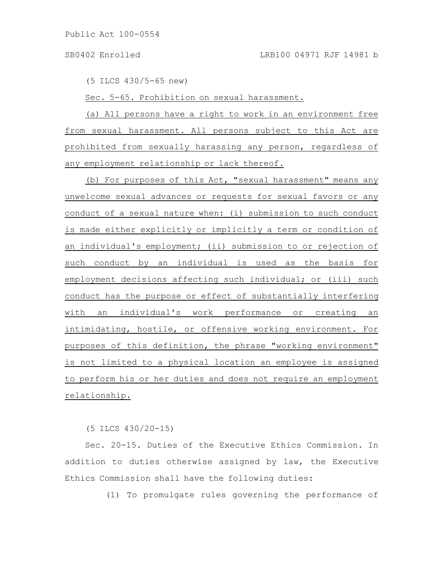### SB0402 Enrolled LRB100 04971 RJF 14981 b

(5 ILCS 430/5-65 new)

Sec. 5-65. Prohibition on sexual harassment.

(a) All persons have a right to work in an environment free from sexual harassment. All persons subject to this Act are prohibited from sexually harassing any person, regardless of any employment relationship or lack thereof.

(b) For purposes of this Act, "sexual harassment" means any unwelcome sexual advances or requests for sexual favors or any conduct of a sexual nature when: (i) submission to such conduct is made either explicitly or implicitly a term or condition of an individual's employment; (ii) submission to or rejection of such conduct by an individual is used as the basis for employment decisions affecting such individual; or (iii) such conduct has the purpose or effect of substantially interfering with an individual's work performance or creating an intimidating, hostile, or offensive working environment. For purposes of this definition, the phrase "working environment" is not limited to a physical location an employee is assigned to perform his or her duties and does not require an employment relationship.

(5 ILCS 430/20-15)

Sec. 20-15. Duties of the Executive Ethics Commission. In addition to duties otherwise assigned by law, the Executive Ethics Commission shall have the following duties:

(1) To promulgate rules governing the performance of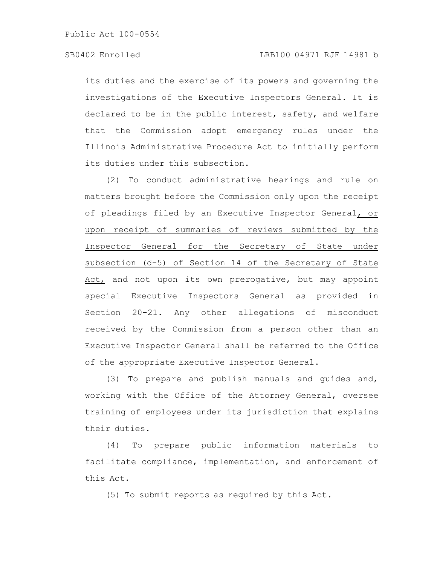its duties and the exercise of its powers and governing the investigations of the Executive Inspectors General. It is declared to be in the public interest, safety, and welfare that the Commission adopt emergency rules under the Illinois Administrative Procedure Act to initially perform its duties under this subsection.

(2) To conduct administrative hearings and rule on matters brought before the Commission only upon the receipt of pleadings filed by an Executive Inspector General, or upon receipt of summaries of reviews submitted by the Inspector General for the Secretary of State under subsection (d-5) of Section 14 of the Secretary of State Act, and not upon its own prerogative, but may appoint special Executive Inspectors General as provided in Section 20-21. Any other allegations of misconduct received by the Commission from a person other than an Executive Inspector General shall be referred to the Office of the appropriate Executive Inspector General.

(3) To prepare and publish manuals and guides and, working with the Office of the Attorney General, oversee training of employees under its jurisdiction that explains their duties.

(4) To prepare public information materials to facilitate compliance, implementation, and enforcement of this Act.

(5) To submit reports as required by this Act.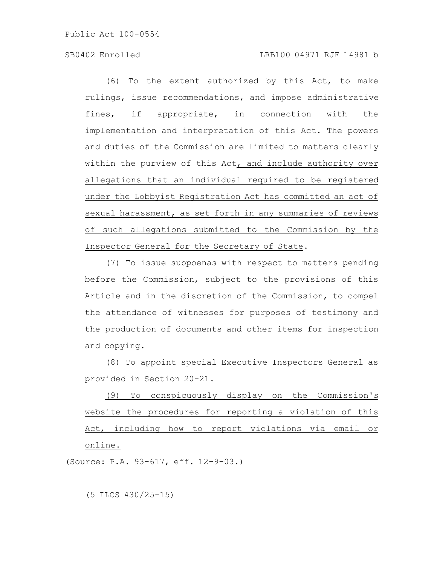# SB0402 Enrolled LRB100 04971 RJF 14981 b

(6) To the extent authorized by this Act, to make rulings, issue recommendations, and impose administrative fines, if appropriate, in connection with the implementation and interpretation of this Act. The powers and duties of the Commission are limited to matters clearly within the purview of this Act, and include authority over allegations that an individual required to be registered under the Lobbyist Registration Act has committed an act of sexual harassment, as set forth in any summaries of reviews of such allegations submitted to the Commission by the Inspector General for the Secretary of State.

(7) To issue subpoenas with respect to matters pending before the Commission, subject to the provisions of this Article and in the discretion of the Commission, to compel the attendance of witnesses for purposes of testimony and the production of documents and other items for inspection and copying.

(8) To appoint special Executive Inspectors General as provided in Section 20-21.

(9) To conspicuously display on the Commission's website the procedures for reporting a violation of this Act, including how to report violations via email or online.

(Source: P.A. 93-617, eff. 12-9-03.)

(5 ILCS 430/25-15)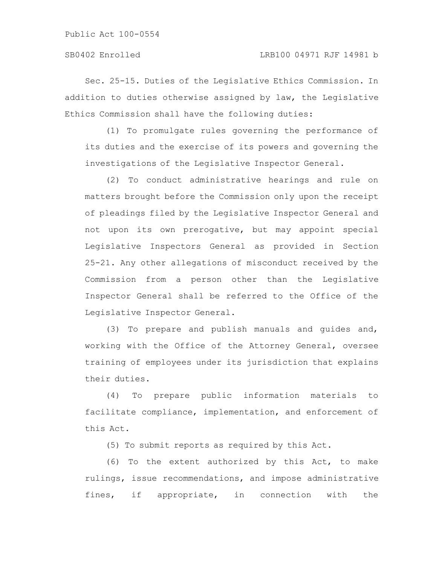Sec. 25-15. Duties of the Legislative Ethics Commission. In addition to duties otherwise assigned by law, the Legislative Ethics Commission shall have the following duties:

(1) To promulgate rules governing the performance of its duties and the exercise of its powers and governing the investigations of the Legislative Inspector General.

(2) To conduct administrative hearings and rule on matters brought before the Commission only upon the receipt of pleadings filed by the Legislative Inspector General and not upon its own prerogative, but may appoint special Legislative Inspectors General as provided in Section 25-21. Any other allegations of misconduct received by the Commission from a person other than the Legislative Inspector General shall be referred to the Office of the Legislative Inspector General.

(3) To prepare and publish manuals and guides and, working with the Office of the Attorney General, oversee training of employees under its jurisdiction that explains their duties.

(4) To prepare public information materials to facilitate compliance, implementation, and enforcement of this Act.

(5) To submit reports as required by this Act.

(6) To the extent authorized by this Act, to make rulings, issue recommendations, and impose administrative fines, if appropriate, in connection with the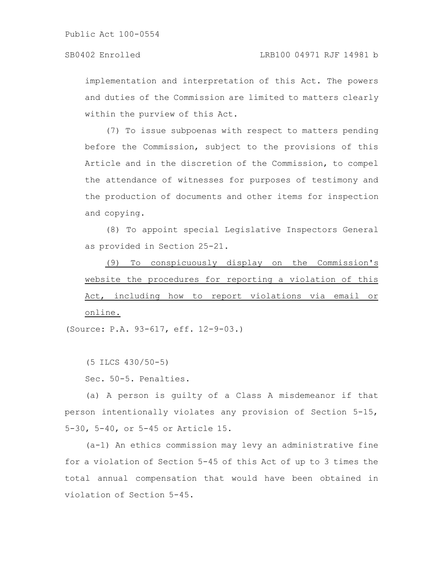implementation and interpretation of this Act. The powers and duties of the Commission are limited to matters clearly within the purview of this Act.

(7) To issue subpoenas with respect to matters pending before the Commission, subject to the provisions of this Article and in the discretion of the Commission, to compel the attendance of witnesses for purposes of testimony and the production of documents and other items for inspection and copying.

(8) To appoint special Legislative Inspectors General as provided in Section 25-21.

(9) To conspicuously display on the Commission's website the procedures for reporting a violation of this Act, including how to report violations via email or online.

(Source: P.A. 93-617, eff. 12-9-03.)

(5 ILCS 430/50-5)

Sec. 50-5. Penalties.

(a) A person is guilty of a Class A misdemeanor if that person intentionally violates any provision of Section 5-15, 5-30, 5-40, or 5-45 or Article 15.

(a-1) An ethics commission may levy an administrative fine for a violation of Section 5-45 of this Act of up to 3 times the total annual compensation that would have been obtained in violation of Section 5-45.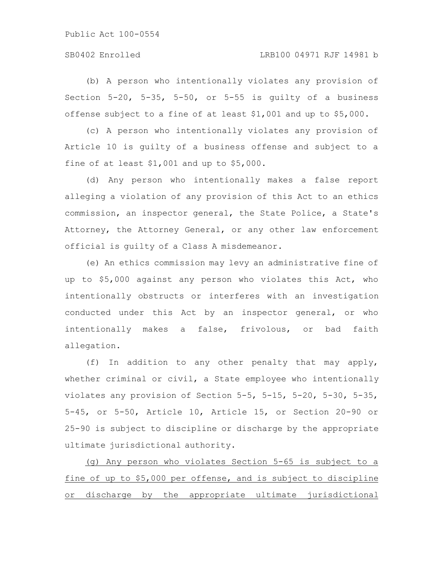# SB0402 Enrolled LRB100 04971 RJF 14981 b

(b) A person who intentionally violates any provision of Section 5-20, 5-35, 5-50, or 5-55 is guilty of a business offense subject to a fine of at least \$1,001 and up to \$5,000.

(c) A person who intentionally violates any provision of Article 10 is guilty of a business offense and subject to a fine of at least \$1,001 and up to \$5,000.

(d) Any person who intentionally makes a false report alleging a violation of any provision of this Act to an ethics commission, an inspector general, the State Police, a State's Attorney, the Attorney General, or any other law enforcement official is guilty of a Class A misdemeanor.

(e) An ethics commission may levy an administrative fine of up to \$5,000 against any person who violates this Act, who intentionally obstructs or interferes with an investigation conducted under this Act by an inspector general, or who intentionally makes a false, frivolous, or bad faith allegation.

(f) In addition to any other penalty that may apply, whether criminal or civil, a State employee who intentionally violates any provision of Section 5-5, 5-15, 5-20, 5-30, 5-35, 5-45, or 5-50, Article 10, Article 15, or Section 20-90 or 25-90 is subject to discipline or discharge by the appropriate ultimate jurisdictional authority.

(g) Any person who violates Section 5-65 is subject to a fine of up to \$5,000 per offense, and is subject to discipline or discharge by the appropriate ultimate jurisdictional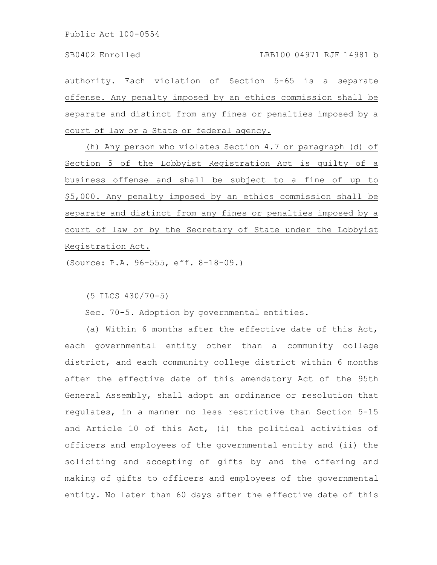authority. Each violation of Section 5-65 is a separate offense. Any penalty imposed by an ethics commission shall be separate and distinct from any fines or penalties imposed by a court of law or a State or federal agency.

(h) Any person who violates Section 4.7 or paragraph (d) of Section 5 of the Lobbyist Registration Act is guilty of a business offense and shall be subject to a fine of up to \$5,000. Any penalty imposed by an ethics commission shall be separate and distinct from any fines or penalties imposed by a court of law or by the Secretary of State under the Lobbyist Registration Act.

(Source: P.A. 96-555, eff. 8-18-09.)

(5 ILCS 430/70-5)

Sec. 70-5. Adoption by governmental entities.

(a) Within 6 months after the effective date of this Act, each governmental entity other than a community college district, and each community college district within 6 months after the effective date of this amendatory Act of the 95th General Assembly, shall adopt an ordinance or resolution that regulates, in a manner no less restrictive than Section 5-15 and Article 10 of this Act, (i) the political activities of officers and employees of the governmental entity and (ii) the soliciting and accepting of gifts by and the offering and making of gifts to officers and employees of the governmental entity. No later than 60 days after the effective date of this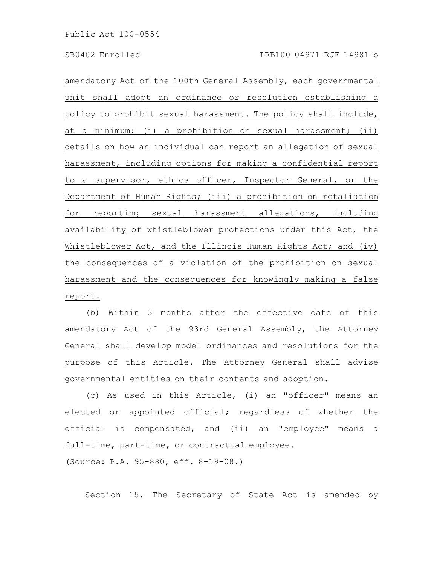amendatory Act of the 100th General Assembly, each governmental unit shall adopt an ordinance or resolution establishing a policy to prohibit sexual harassment. The policy shall include, at a minimum: (i) a prohibition on sexual harassment; (ii) details on how an individual can report an allegation of sexual harassment, including options for making a confidential report to a supervisor, ethics officer, Inspector General, or the Department of Human Rights; (iii) a prohibition on retaliation for reporting sexual harassment allegations, including availability of whistleblower protections under this Act, the Whistleblower Act, and the Illinois Human Rights Act; and (iv) the consequences of a violation of the prohibition on sexual harassment and the consequences for knowingly making a false report.

(b) Within 3 months after the effective date of this amendatory Act of the 93rd General Assembly, the Attorney General shall develop model ordinances and resolutions for the purpose of this Article. The Attorney General shall advise governmental entities on their contents and adoption.

(c) As used in this Article, (i) an "officer" means an elected or appointed official; regardless of whether the official is compensated, and (ii) an "employee" means a full-time, part-time, or contractual employee. (Source: P.A. 95-880, eff. 8-19-08.)

Section 15. The Secretary of State Act is amended by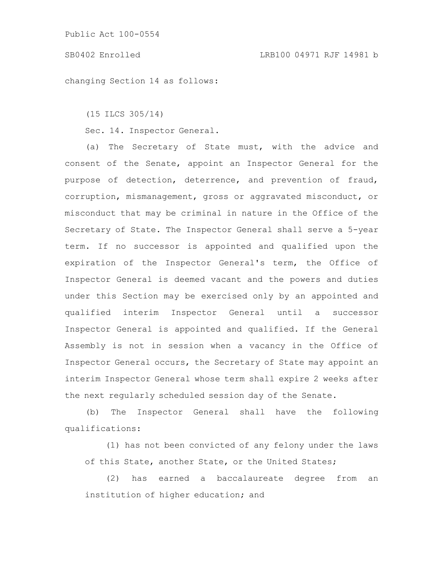changing Section 14 as follows:

(15 ILCS 305/14)

Sec. 14. Inspector General.

(a) The Secretary of State must, with the advice and consent of the Senate, appoint an Inspector General for the purpose of detection, deterrence, and prevention of fraud, corruption, mismanagement, gross or aggravated misconduct, or misconduct that may be criminal in nature in the Office of the Secretary of State. The Inspector General shall serve a 5-year term. If no successor is appointed and qualified upon the expiration of the Inspector General's term, the Office of Inspector General is deemed vacant and the powers and duties under this Section may be exercised only by an appointed and qualified interim Inspector General until a successor Inspector General is appointed and qualified. If the General Assembly is not in session when a vacancy in the Office of Inspector General occurs, the Secretary of State may appoint an interim Inspector General whose term shall expire 2 weeks after the next regularly scheduled session day of the Senate.

(b) The Inspector General shall have the following qualifications:

(1) has not been convicted of any felony under the laws of this State, another State, or the United States;

(2) has earned a baccalaureate degree from an institution of higher education; and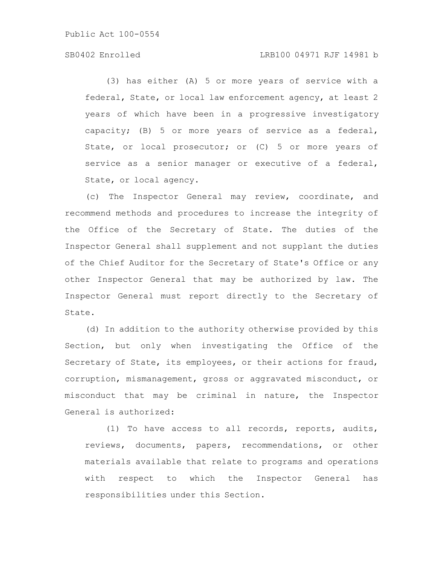# SB0402 Enrolled LRB100 04971 RJF 14981 b

(3) has either (A) 5 or more years of service with a federal, State, or local law enforcement agency, at least 2 years of which have been in a progressive investigatory capacity; (B) 5 or more years of service as a federal, State, or local prosecutor; or (C) 5 or more years of service as a senior manager or executive of a federal, State, or local agency.

(c) The Inspector General may review, coordinate, and recommend methods and procedures to increase the integrity of the Office of the Secretary of State. The duties of the Inspector General shall supplement and not supplant the duties of the Chief Auditor for the Secretary of State's Office or any other Inspector General that may be authorized by law. The Inspector General must report directly to the Secretary of State.

(d) In addition to the authority otherwise provided by this Section, but only when investigating the Office of the Secretary of State, its employees, or their actions for fraud, corruption, mismanagement, gross or aggravated misconduct, or misconduct that may be criminal in nature, the Inspector General is authorized:

(1) To have access to all records, reports, audits, reviews, documents, papers, recommendations, or other materials available that relate to programs and operations with respect to which the Inspector General has responsibilities under this Section.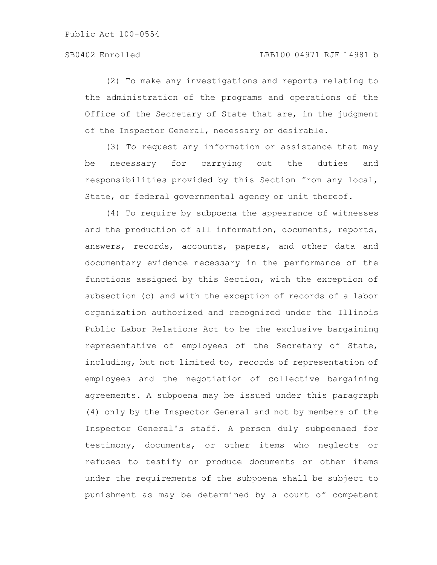(2) To make any investigations and reports relating to the administration of the programs and operations of the Office of the Secretary of State that are, in the judgment of the Inspector General, necessary or desirable.

(3) To request any information or assistance that may be necessary for carrying out the duties and responsibilities provided by this Section from any local, State, or federal governmental agency or unit thereof.

(4) To require by subpoena the appearance of witnesses and the production of all information, documents, reports, answers, records, accounts, papers, and other data and documentary evidence necessary in the performance of the functions assigned by this Section, with the exception of subsection (c) and with the exception of records of a labor organization authorized and recognized under the Illinois Public Labor Relations Act to be the exclusive bargaining representative of employees of the Secretary of State, including, but not limited to, records of representation of employees and the negotiation of collective bargaining agreements. A subpoena may be issued under this paragraph (4) only by the Inspector General and not by members of the Inspector General's staff. A person duly subpoenaed for testimony, documents, or other items who neglects or refuses to testify or produce documents or other items under the requirements of the subpoena shall be subject to punishment as may be determined by a court of competent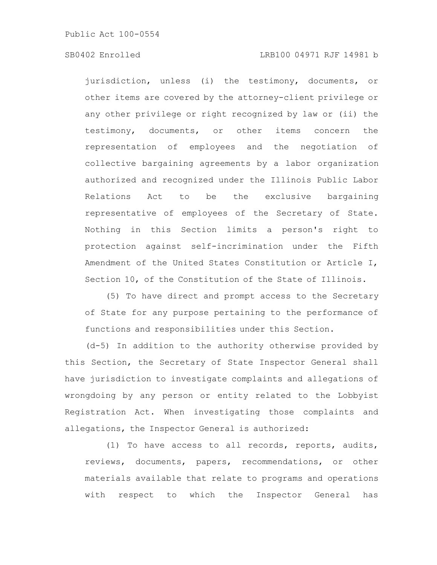# SB0402 Enrolled LRB100 04971 RJF 14981 b

jurisdiction, unless (i) the testimony, documents, or other items are covered by the attorney-client privilege or any other privilege or right recognized by law or (ii) the testimony, documents, or other items concern the representation of employees and the negotiation of collective bargaining agreements by a labor organization authorized and recognized under the Illinois Public Labor Relations Act to be the exclusive bargaining representative of employees of the Secretary of State. Nothing in this Section limits a person's right to protection against self-incrimination under the Fifth Amendment of the United States Constitution or Article I, Section 10, of the Constitution of the State of Illinois.

(5) To have direct and prompt access to the Secretary of State for any purpose pertaining to the performance of functions and responsibilities under this Section.

(d-5) In addition to the authority otherwise provided by this Section, the Secretary of State Inspector General shall have jurisdiction to investigate complaints and allegations of wrongdoing by any person or entity related to the Lobbyist Registration Act. When investigating those complaints and allegations, the Inspector General is authorized:

(1) To have access to all records, reports, audits, reviews, documents, papers, recommendations, or other materials available that relate to programs and operations with respect to which the Inspector General has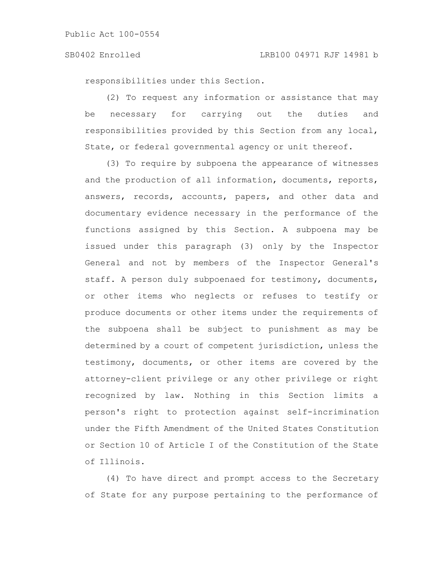responsibilities under this Section.

(2) To request any information or assistance that may be necessary for carrying out the duties and responsibilities provided by this Section from any local, State, or federal governmental agency or unit thereof.

(3) To require by subpoena the appearance of witnesses and the production of all information, documents, reports, answers, records, accounts, papers, and other data and documentary evidence necessary in the performance of the functions assigned by this Section. A subpoena may be issued under this paragraph (3) only by the Inspector General and not by members of the Inspector General's staff. A person duly subpoenaed for testimony, documents, or other items who neglects or refuses to testify or produce documents or other items under the requirements of the subpoena shall be subject to punishment as may be determined by a court of competent jurisdiction, unless the testimony, documents, or other items are covered by the attorney-client privilege or any other privilege or right recognized by law. Nothing in this Section limits a person's right to protection against self-incrimination under the Fifth Amendment of the United States Constitution or Section 10 of Article I of the Constitution of the State of Illinois.

(4) To have direct and prompt access to the Secretary of State for any purpose pertaining to the performance of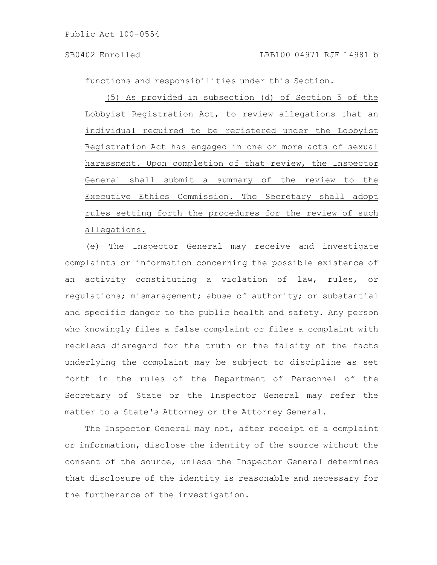functions and responsibilities under this Section.

(5) As provided in subsection (d) of Section 5 of the Lobbyist Registration Act, to review allegations that an individual required to be registered under the Lobbyist Registration Act has engaged in one or more acts of sexual harassment. Upon completion of that review, the Inspector General shall submit a summary of the review to the Executive Ethics Commission. The Secretary shall adopt rules setting forth the procedures for the review of such allegations.

(e) The Inspector General may receive and investigate complaints or information concerning the possible existence of an activity constituting a violation of law, rules, or regulations; mismanagement; abuse of authority; or substantial and specific danger to the public health and safety. Any person who knowingly files a false complaint or files a complaint with reckless disregard for the truth or the falsity of the facts underlying the complaint may be subject to discipline as set forth in the rules of the Department of Personnel of the Secretary of State or the Inspector General may refer the matter to a State's Attorney or the Attorney General.

The Inspector General may not, after receipt of a complaint or information, disclose the identity of the source without the consent of the source, unless the Inspector General determines that disclosure of the identity is reasonable and necessary for the furtherance of the investigation.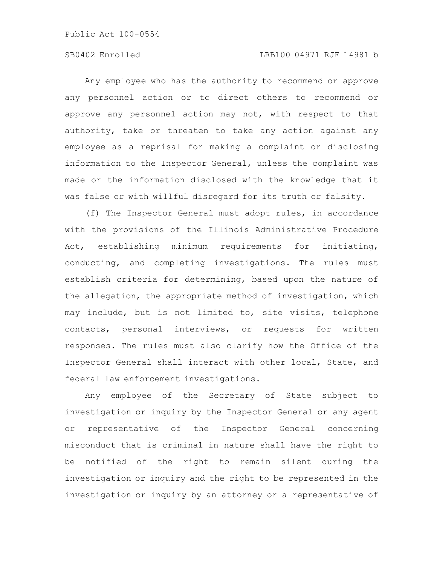# SB0402 Enrolled LRB100 04971 RJF 14981 b

Any employee who has the authority to recommend or approve any personnel action or to direct others to recommend or approve any personnel action may not, with respect to that authority, take or threaten to take any action against any employee as a reprisal for making a complaint or disclosing information to the Inspector General, unless the complaint was made or the information disclosed with the knowledge that it was false or with willful disregard for its truth or falsity.

(f) The Inspector General must adopt rules, in accordance with the provisions of the Illinois Administrative Procedure Act, establishing minimum requirements for initiating, conducting, and completing investigations. The rules must establish criteria for determining, based upon the nature of the allegation, the appropriate method of investigation, which may include, but is not limited to, site visits, telephone contacts, personal interviews, or requests for written responses. The rules must also clarify how the Office of the Inspector General shall interact with other local, State, and federal law enforcement investigations.

Any employee of the Secretary of State subject to investigation or inquiry by the Inspector General or any agent or representative of the Inspector General concerning misconduct that is criminal in nature shall have the right to be notified of the right to remain silent during the investigation or inquiry and the right to be represented in the investigation or inquiry by an attorney or a representative of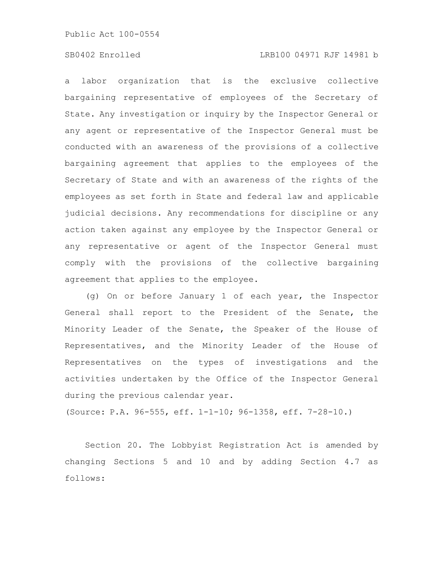# SB0402 Enrolled LRB100 04971 RJF 14981 b

a labor organization that is the exclusive collective bargaining representative of employees of the Secretary of State. Any investigation or inquiry by the Inspector General or any agent or representative of the Inspector General must be conducted with an awareness of the provisions of a collective bargaining agreement that applies to the employees of the Secretary of State and with an awareness of the rights of the employees as set forth in State and federal law and applicable judicial decisions. Any recommendations for discipline or any action taken against any employee by the Inspector General or any representative or agent of the Inspector General must comply with the provisions of the collective bargaining agreement that applies to the employee.

(g) On or before January 1 of each year, the Inspector General shall report to the President of the Senate, the Minority Leader of the Senate, the Speaker of the House of Representatives, and the Minority Leader of the House of Representatives on the types of investigations and the activities undertaken by the Office of the Inspector General during the previous calendar year.

(Source: P.A. 96-555, eff. 1-1-10; 96-1358, eff. 7-28-10.)

Section 20. The Lobbyist Registration Act is amended by changing Sections 5 and 10 and by adding Section 4.7 as follows: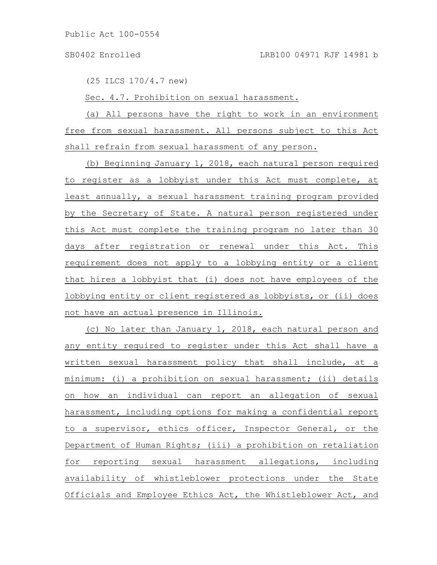(25 ILCS 170/4.7 new)

Sec. 4.7. Prohibition on sexual harassment.

(a) All persons have the right to work in an environment free from sexual harassment. All persons subject to this Act shall refrain from sexual harassment of any person.

(b) Beginning January 1, 2018, each natural person required to register as a lobbyist under this Act must complete, at least annually, a sexual harassment training program provided by the Secretary of State. A natural person registered under this Act must complete the training program no later than 30 days after registration or renewal under this Act. This requirement does not apply to a lobbying entity or a client that hires a lobbyist that (i) does not have employees of the lobbying entity or client registered as lobbyists, or (ii) does not have an actual presence in Illinois.

(c) No later than January 1, 2018, each natural person and any entity required to register under this Act shall have a written sexual harassment policy that shall include, at a minimum: (i) a prohibition on sexual harassment; (ii) details on how an individual can report an allegation of sexual harassment, including options for making a confidential report to a supervisor, ethics officer, Inspector General, or the Department of Human Rights; (iii) a prohibition on retaliation for reporting sexual harassment allegations, including availability of whistleblower protections under the State Officials and Employee Ethics Act, the Whistleblower Act, and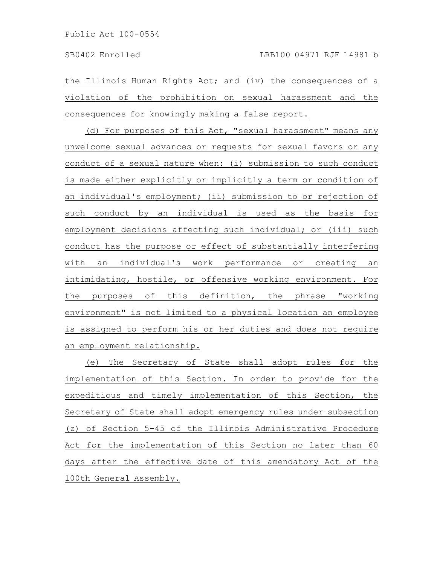the Illinois Human Rights Act; and (iv) the consequences of a violation of the prohibition on sexual harassment and the consequences for knowingly making a false report.

(d) For purposes of this Act, "sexual harassment" means any unwelcome sexual advances or requests for sexual favors or any conduct of a sexual nature when: (i) submission to such conduct is made either explicitly or implicitly a term or condition of an individual's employment; (ii) submission to or rejection of such conduct by an individual is used as the basis for employment decisions affecting such individual; or (iii) such conduct has the purpose or effect of substantially interfering with an individual's work performance or creating an intimidating, hostile, or offensive working environment. For the purposes of this definition, the phrase "working environment" is not limited to a physical location an employee is assigned to perform his or her duties and does not require an employment relationship.

(e) The Secretary of State shall adopt rules for the implementation of this Section. In order to provide for the expeditious and timely implementation of this Section, the Secretary of State shall adopt emergency rules under subsection (z) of Section 5-45 of the Illinois Administrative Procedure Act for the implementation of this Section no later than 60 days after the effective date of this amendatory Act of the 100th General Assembly.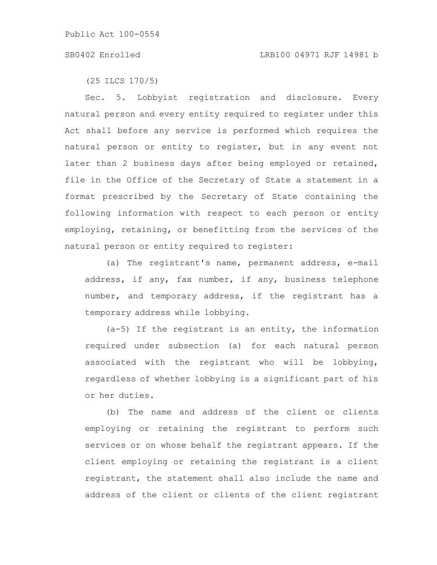(25 ILCS 170/5)

Sec. 5. Lobbyist registration and disclosure. Every natural person and every entity required to register under this Act shall before any service is performed which requires the natural person or entity to register, but in any event not later than 2 business days after being employed or retained, file in the Office of the Secretary of State a statement in a format prescribed by the Secretary of State containing the following information with respect to each person or entity employing, retaining, or benefitting from the services of the natural person or entity required to register:

(a) The registrant's name, permanent address, e-mail address, if any, fax number, if any, business telephone number, and temporary address, if the registrant has a temporary address while lobbying.

(a-5) If the registrant is an entity, the information required under subsection (a) for each natural person associated with the registrant who will be lobbying, regardless of whether lobbying is a significant part of his or her duties.

(b) The name and address of the client or clients employing or retaining the registrant to perform such services or on whose behalf the registrant appears. If the client employing or retaining the registrant is a client registrant, the statement shall also include the name and address of the client or clients of the client registrant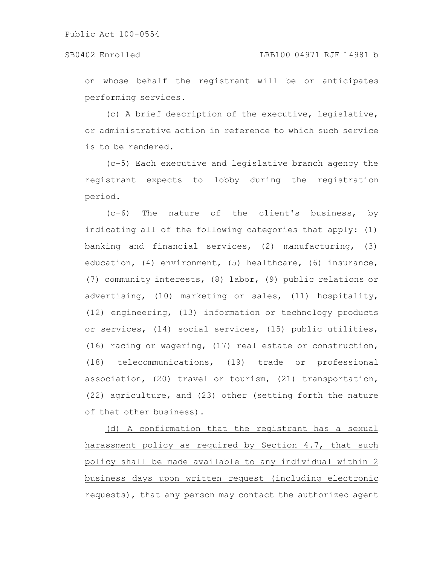on whose behalf the registrant will be or anticipates performing services.

(c) A brief description of the executive, legislative, or administrative action in reference to which such service is to be rendered.

(c-5) Each executive and legislative branch agency the registrant expects to lobby during the registration period.

(c-6) The nature of the client's business, by indicating all of the following categories that apply: (1) banking and financial services, (2) manufacturing, (3) education, (4) environment, (5) healthcare, (6) insurance, (7) community interests, (8) labor, (9) public relations or advertising, (10) marketing or sales, (11) hospitality, (12) engineering, (13) information or technology products or services, (14) social services, (15) public utilities, (16) racing or wagering, (17) real estate or construction, (18) telecommunications, (19) trade or professional association, (20) travel or tourism, (21) transportation, (22) agriculture, and (23) other (setting forth the nature of that other business).

(d) A confirmation that the registrant has a sexual harassment policy as required by Section 4.7, that such policy shall be made available to any individual within 2 business days upon written request (including electronic requests), that any person may contact the authorized agent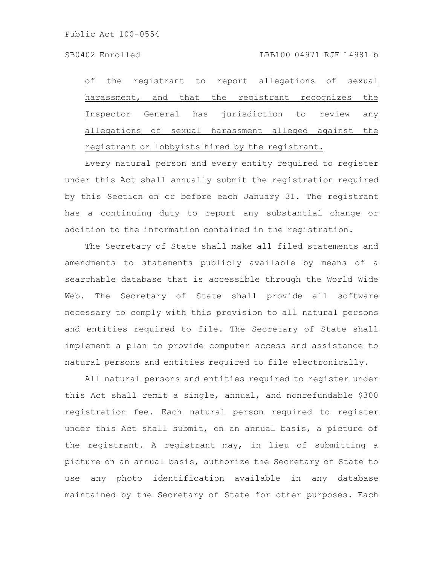of the registrant to report allegations of sexual harassment, and that the registrant recognizes the Inspector General has jurisdiction to review any allegations of sexual harassment alleged against the registrant or lobbyists hired by the registrant.

Every natural person and every entity required to register under this Act shall annually submit the registration required by this Section on or before each January 31. The registrant has a continuing duty to report any substantial change or addition to the information contained in the registration.

The Secretary of State shall make all filed statements and amendments to statements publicly available by means of a searchable database that is accessible through the World Wide Web. The Secretary of State shall provide all software necessary to comply with this provision to all natural persons and entities required to file. The Secretary of State shall implement a plan to provide computer access and assistance to natural persons and entities required to file electronically.

All natural persons and entities required to register under this Act shall remit a single, annual, and nonrefundable \$300 registration fee. Each natural person required to register under this Act shall submit, on an annual basis, a picture of the registrant. A registrant may, in lieu of submitting a picture on an annual basis, authorize the Secretary of State to use any photo identification available in any database maintained by the Secretary of State for other purposes. Each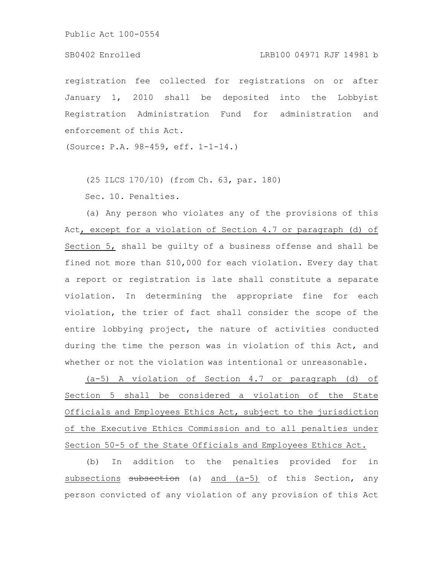# SB0402 Enrolled LRB100 04971 RJF 14981 b

registration fee collected for registrations on or after January 1, 2010 shall be deposited into the Lobbyist Registration Administration Fund for administration and enforcement of this Act.

(Source: P.A. 98-459, eff. 1-1-14.)

(25 ILCS 170/10) (from Ch. 63, par. 180)

Sec. 10. Penalties.

(a) Any person who violates any of the provisions of this Act, except for a violation of Section 4.7 or paragraph (d) of Section 5, shall be guilty of a business offense and shall be fined not more than \$10,000 for each violation. Every day that a report or registration is late shall constitute a separate violation. In determining the appropriate fine for each violation, the trier of fact shall consider the scope of the entire lobbying project, the nature of activities conducted during the time the person was in violation of this Act, and whether or not the violation was intentional or unreasonable.

(a-5) A violation of Section 4.7 or paragraph (d) of Section 5 shall be considered a violation of the State Officials and Employees Ethics Act, subject to the jurisdiction of the Executive Ethics Commission and to all penalties under Section 50-5 of the State Officials and Employees Ethics Act.

(b) In addition to the penalties provided for in subsections subsection (a) and (a-5) of this Section, any person convicted of any violation of any provision of this Act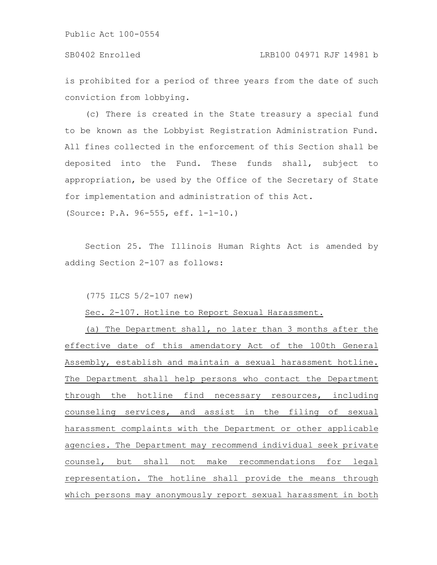is prohibited for a period of three years from the date of such conviction from lobbying.

(c) There is created in the State treasury a special fund to be known as the Lobbyist Registration Administration Fund. All fines collected in the enforcement of this Section shall be deposited into the Fund. These funds shall, subject to appropriation, be used by the Office of the Secretary of State for implementation and administration of this Act.

(Source: P.A. 96-555, eff. 1-1-10.)

Section 25. The Illinois Human Rights Act is amended by adding Section 2-107 as follows:

(775 ILCS 5/2-107 new)

Sec. 2-107. Hotline to Report Sexual Harassment.

(a) The Department shall, no later than 3 months after the effective date of this amendatory Act of the 100th General Assembly, establish and maintain a sexual harassment hotline. The Department shall help persons who contact the Department through the hotline find necessary resources, including counseling services, and assist in the filing of sexual harassment complaints with the Department or other applicable agencies. The Department may recommend individual seek private counsel, but shall not make recommendations for legal representation. The hotline shall provide the means through which persons may anonymously report sexual harassment in both